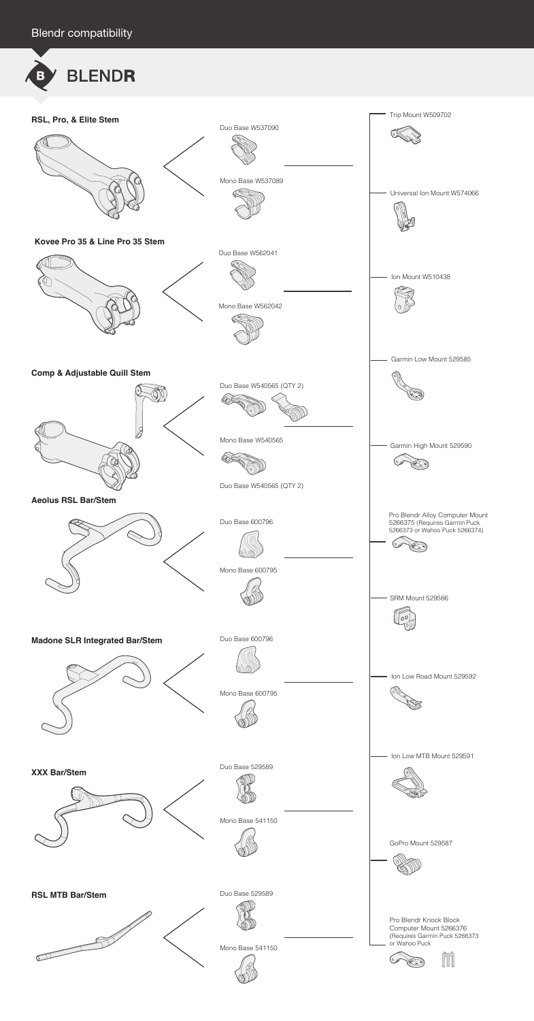**XXX Bar/Stem**

Duo Base 529589  $\langle \textcircled{1} \rangle$ 

Ion Low MTB Mount 529591

0





Trip Mount W509702 **RSL, Pro, & Elite Stem** Duo Base W537090 Mono Base W537089 Universal Ion Mount W574066 **Kovee Pro 35 & Line Pro 35 Stem** Duo Base W562041 Ion Mount W510438 Mono Base W562042 Garmin Low Mount 529585 **Comp & Adjustable Quill Stem** Duo Base W540565 (QTY 2) Mono Base W540565 Garmin High Mount 529590 B Duo Base W540565 (QTY 2) **Aeolus RSL Bar/Stem** Pro Blendr Alloy Computer Mount Duo Base 600796 5266375 (Requires Garmin Puck 5266373 or Wahoo Puck 5266374) Mono Base 600795 SRM Mount 529586 00 **Madone SLR Integrated Bar/Stem** Duo Base 600796 Ion Low Road Mount 529592 Mono Base 600795